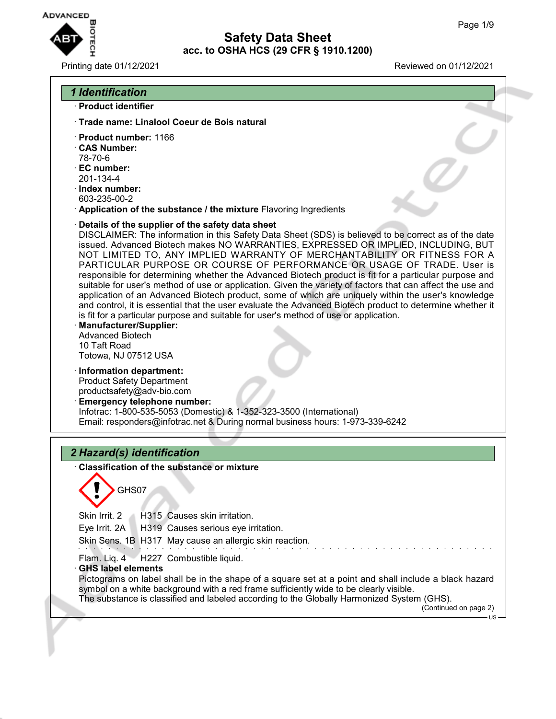

| Printing date 01/12/2021                                                                                                                                                                                                                                                                                                                                                                                                                                                                                                                                                                                                                                                                                                                                                                                                                                                                                                                                                                                                                  | Reviewed on 01/12/2021       |
|-------------------------------------------------------------------------------------------------------------------------------------------------------------------------------------------------------------------------------------------------------------------------------------------------------------------------------------------------------------------------------------------------------------------------------------------------------------------------------------------------------------------------------------------------------------------------------------------------------------------------------------------------------------------------------------------------------------------------------------------------------------------------------------------------------------------------------------------------------------------------------------------------------------------------------------------------------------------------------------------------------------------------------------------|------------------------------|
| <b>1 Identification</b>                                                                                                                                                                                                                                                                                                                                                                                                                                                                                                                                                                                                                                                                                                                                                                                                                                                                                                                                                                                                                   |                              |
| · Product identifier                                                                                                                                                                                                                                                                                                                                                                                                                                                                                                                                                                                                                                                                                                                                                                                                                                                                                                                                                                                                                      |                              |
| Trade name: Linalool Coeur de Bois natural                                                                                                                                                                                                                                                                                                                                                                                                                                                                                                                                                                                                                                                                                                                                                                                                                                                                                                                                                                                                |                              |
| · Product number: 1166<br><b>CAS Number:</b><br>78-70-6<br>· EC number:<br>201-134-4<br>$\cdot$ Index number:<br>603-235-00-2<br>Application of the substance / the mixture Flavoring Ingredients                                                                                                                                                                                                                                                                                                                                                                                                                                                                                                                                                                                                                                                                                                                                                                                                                                         |                              |
| Details of the supplier of the safety data sheet<br>DISCLAIMER: The information in this Safety Data Sheet (SDS) is believed to be correct as of the date<br>issued. Advanced Biotech makes NO WARRANTIES, EXPRESSED OR IMPLIED, INCLUDING, BUT<br>NOT LIMITED TO, ANY IMPLIED WARRANTY OF MERCHANTABILITY OR FITNESS FOR A<br>PARTICULAR PURPOSE OR COURSE OF PERFORMANCE OR USAGE OF TRADE. User is<br>responsible for determining whether the Advanced Biotech product is fit for a particular purpose and<br>suitable for user's method of use or application. Given the variety of factors that can affect the use and<br>application of an Advanced Biotech product, some of which are uniquely within the user's knowledge<br>and control, it is essential that the user evaluate the Advanced Biotech product to determine whether it<br>is fit for a particular purpose and suitable for user's method of use or application.<br><b>Manufacturer/Supplier:</b><br><b>Advanced Biotech</b><br>10 Taft Road<br>Totowa, NJ 07512 USA |                              |
| · Information department:<br><b>Product Safety Department</b><br>productsafety@adv-bio.com<br><b>Emergency telephone number:</b><br>Infotrac: 1-800-535-5053 (Domestic) & 1-352-323-3500 (International)<br>Email: responders@infotrac.net & During normal business hours: 1-973-339-6242                                                                                                                                                                                                                                                                                                                                                                                                                                                                                                                                                                                                                                                                                                                                                 |                              |
| 2 Hazard(s) identification                                                                                                                                                                                                                                                                                                                                                                                                                                                                                                                                                                                                                                                                                                                                                                                                                                                                                                                                                                                                                |                              |
| Classification of the substance or mixture<br>GHS07<br>Skin Irrit. 2<br>H315 Causes skin irritation.<br>Eye Irrit. 2A<br>H319 Causes serious eye irritation.<br>Skin Sens. 1B H317 May cause an allergic skin reaction.                                                                                                                                                                                                                                                                                                                                                                                                                                                                                                                                                                                                                                                                                                                                                                                                                   |                              |
| H227 Combustible liquid.<br>Flam. Liq. 4<br><b>GHS label elements</b><br>Pictograms on label shall be in the shape of a square set at a point and shall include a black hazard<br>symbol on a white background with a red frame sufficiently wide to be clearly visible.<br>The substance is classified and labeled according to the Globally Harmonized System (GHS).                                                                                                                                                                                                                                                                                                                                                                                                                                                                                                                                                                                                                                                                    | (Continued on page 2)<br>US- |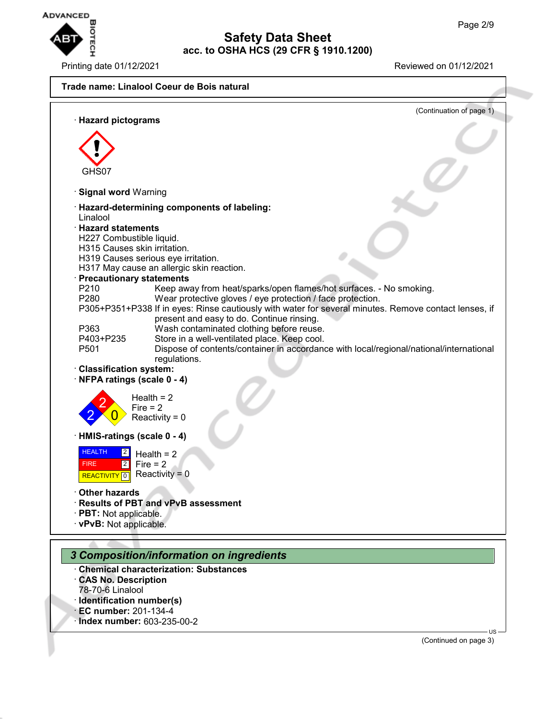



· **Index number:** 603-235-00-2

(Continued on page 3)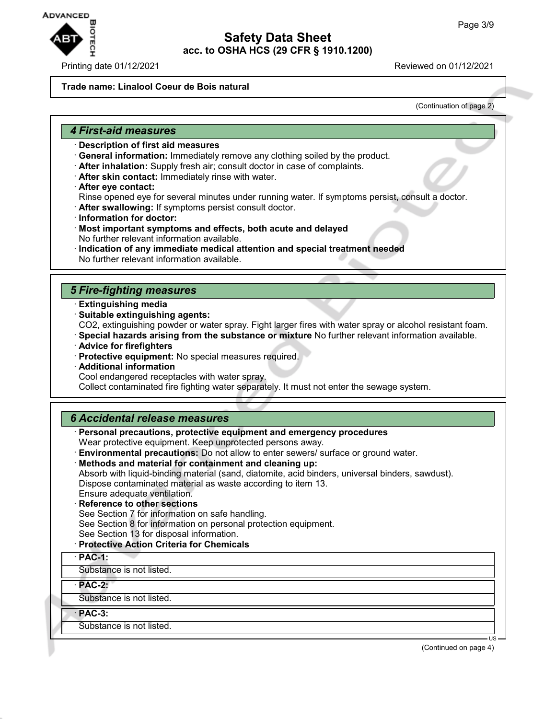

#### Printing date 01/12/2021 Reviewed on 01/12/2021

### **Trade name: Linalool Coeur de Bois natural**

(Continuation of page 2)

#### *4 First-aid measures*

- · **Description of first aid measures**
- · **General information:** Immediately remove any clothing soiled by the product.
- · **After inhalation:** Supply fresh air; consult doctor in case of complaints.
- · **After skin contact:** Immediately rinse with water.
- · **After eye contact:**

Rinse opened eye for several minutes under running water. If symptoms persist, consult a doctor.

- · **After swallowing:** If symptoms persist consult doctor.
- · **Information for doctor:**
- · **Most important symptoms and effects, both acute and delayed** No further relevant information available.
- · **Indication of any immediate medical attention and special treatment needed** No further relevant information available.

## *5 Fire-fighting measures*

- · **Extinguishing media**
- · **Suitable extinguishing agents:**
- CO2, extinguishing powder or water spray. Fight larger fires with water spray or alcohol resistant foam.
- · **Special hazards arising from the substance or mixture** No further relevant information available.
- · **Advice for firefighters**
- · **Protective equipment:** No special measures required.
- · **Additional information**
- Cool endangered receptacles with water spray.

Collect contaminated fire fighting water separately. It must not enter the sewage system.

## *6 Accidental release measures*

- · **Personal precautions, protective equipment and emergency procedures** Wear protective equipment. Keep unprotected persons away.
- · **Environmental precautions:** Do not allow to enter sewers/ surface or ground water.
- · **Methods and material for containment and cleaning up:** Absorb with liquid-binding material (sand, diatomite, acid binders, universal binders, sawdust). Dispose contaminated material as waste according to item 13. Ensure adequate ventilation.
- **Reference to other sections**
- See Section 7 for information on safe handling.
- See Section 8 for information on personal protection equipment.
- See Section 13 for disposal information.
- · **Protective Action Criteria for Chemicals**
- · **PAC-1:**

Substance is not listed.

· **PAC-2:**

Substance is not listed.

· **PAC-3:**

Substance is not listed.

(Continued on page 4)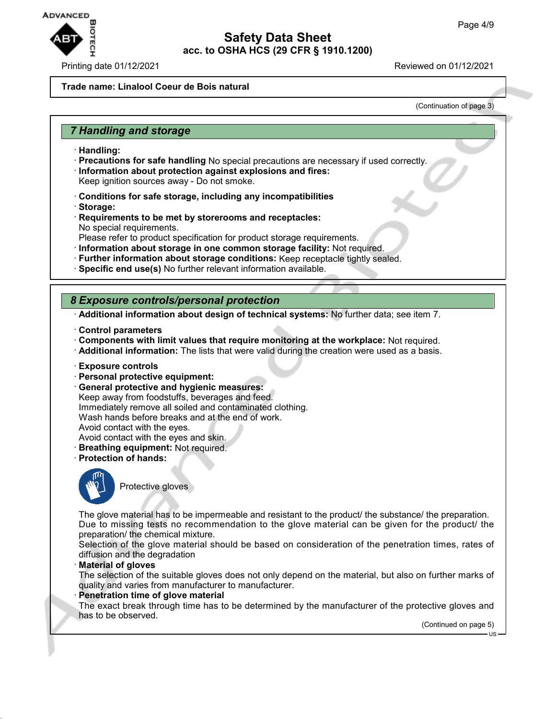

#### Printing date 01/12/2021 Reviewed on 01/12/2021

#### **Trade name: Linalool Coeur de Bois natural**

(Continuation of page 3)

## *7 Handling and storage*

- · **Handling:**
- · **Precautions for safe handling** No special precautions are necessary if used correctly.
- · **Information about protection against explosions and fires:** Keep ignition sources away - Do not smoke.
- · **Conditions for safe storage, including any incompatibilities**
- · **Storage:**
- · **Requirements to be met by storerooms and receptacles:** No special requirements.
- Please refer to product specification for product storage requirements.
- · **Information about storage in one common storage facility:** Not required.
- · **Further information about storage conditions:** Keep receptacle tightly sealed.
- · **Specific end use(s)** No further relevant information available.

## *8 Exposure controls/personal protection*

· **Additional information about design of technical systems:** No further data; see item 7.

- · **Control parameters**
- · **Components with limit values that require monitoring at the workplace:** Not required.
- · **Additional information:** The lists that were valid during the creation were used as a basis.
- · **Exposure controls**
- · **Personal protective equipment:**
- · **General protective and hygienic measures:** Keep away from foodstuffs, beverages and feed. Immediately remove all soiled and contaminated clothing. Wash hands before breaks and at the end of work. Avoid contact with the eyes. Avoid contact with the eyes and skin.
- · **Breathing equipment:** Not required.
- · **Protection of hands:**



Protective gloves

The glove material has to be impermeable and resistant to the product/ the substance/ the preparation. Due to missing tests no recommendation to the glove material can be given for the product/ the preparation/ the chemical mixture.

Selection of the glove material should be based on consideration of the penetration times, rates of diffusion and the degradation

· **Material of gloves**

The selection of the suitable gloves does not only depend on the material, but also on further marks of quality and varies from manufacturer to manufacturer.

#### **Penetration time of glove material**

The exact break through time has to be determined by the manufacturer of the protective gloves and has to be observed.

(Continued on page 5)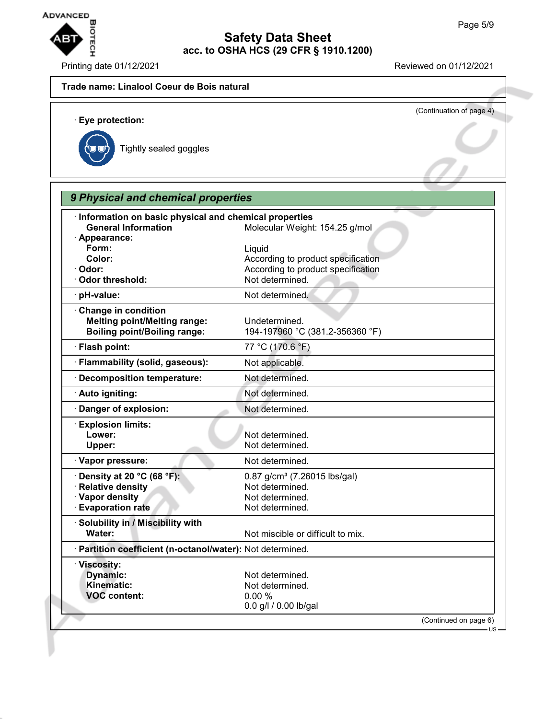

Printing date 01/12/2021 Reviewed on 01/12/2021

## **Trade name: Linalool Coeur de Bois natural**

(Continuation of page 4) · **Eye protection:** Tightly sealed goggles *9 Physical and chemical properties*

| <b>General Information</b><br>· Appearance:                                                           | Molecular Weight: 154.25 g/mol                                                                    |
|-------------------------------------------------------------------------------------------------------|---------------------------------------------------------------------------------------------------|
| Form:<br>Color:<br>Odor:                                                                              | Liquid<br>According to product specification<br>According to product specification                |
| <b>Odor threshold:</b>                                                                                | Not determined.                                                                                   |
| · pH-value:                                                                                           | Not determined.                                                                                   |
| Change in condition<br><b>Melting point/Melting range:</b><br><b>Boiling point/Boiling range:</b>     | Undetermined.<br>194-197960 °C (381.2-356360 °F)                                                  |
| · Flash point:                                                                                        | 77 °C (170.6 °F)                                                                                  |
| · Flammability (solid, gaseous):                                                                      | Not applicable.                                                                                   |
| · Decomposition temperature:                                                                          | Not determined.                                                                                   |
| · Auto igniting:                                                                                      | Not determined.                                                                                   |
| Danger of explosion:                                                                                  | Not determined.                                                                                   |
| <b>Explosion limits:</b><br>Lower:<br>Upper:                                                          | Not determined.<br>Not determined.                                                                |
| · Vapor pressure:                                                                                     | Not determined.                                                                                   |
| $\cdot$ Density at 20 °C (68 °F):<br>· Relative density<br>· Vapor density<br><b>Evaporation rate</b> | 0.87 g/cm <sup>3</sup> (7.26015 lbs/gal)<br>Not determined.<br>Not determined.<br>Not determined. |
| · Solubility in / Miscibility with<br>Water:                                                          | Not miscible or difficult to mix.                                                                 |
| · Partition coefficient (n-octanol/water): Not determined.                                            |                                                                                                   |
| · Viscosity:<br>Dynamic:<br>Kinematic:<br><b>VOC content:</b>                                         | Not determined.<br>Not determined.<br>0.00%<br>0.0 g/l / 0.00 lb/gal                              |
|                                                                                                       | (Continued on page 6)                                                                             |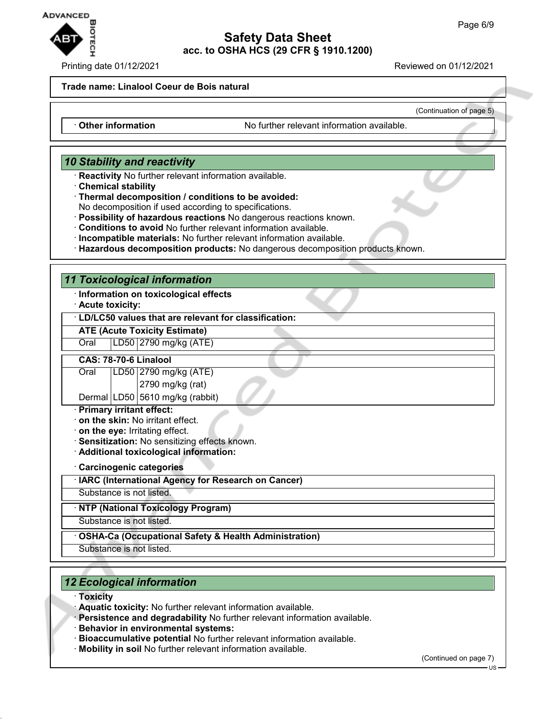

#### Printing date 01/12/2021 Reviewed on 01/12/2021

(Continuation of page 5)

#### **Trade name: Linalool Coeur de Bois natural**

· **Other information** No further relevant information available.

## *10 Stability and reactivity*

- · **Reactivity** No further relevant information available.
- · **Chemical stability**
- · **Thermal decomposition / conditions to be avoided:**

No decomposition if used according to specifications.

- · **Possibility of hazardous reactions** No dangerous reactions known.
- · **Conditions to avoid** No further relevant information available.
- · **Incompatible materials:** No further relevant information available.
- · **Hazardous decomposition products:** No dangerous decomposition products known.

## *11 Toxicological information*

- · **Information on toxicological effects**
- · **Acute toxicity:**

#### · **LD/LC50 values that are relevant for classification:**

## **ATE (Acute Toxicity Estimate)**

Oral LD50 2790 mg/kg (ATE)

#### **CAS: 78-70-6 Linalool**

# Oral LD50 2790 mg/kg (ATE)

2790 mg/kg (rat)

# Dermal LD50  $5610$  mg/kg (rabbit)

- · **Primary irritant effect:**
- · **on the skin:** No irritant effect.
- · **on the eye:** Irritating effect.
- · **Sensitization:** No sensitizing effects known.
- · **Additional toxicological information:**
- · **Carcinogenic categories**
- · **IARC (International Agency for Research on Cancer)**
- Substance is not listed.

## · **NTP (National Toxicology Program)**

Substance is not listed.

- · **OSHA-Ca (Occupational Safety & Health Administration)**
- Substance is not listed.

# *12 Ecological information*

- · **Toxicity**
- · **Aquatic toxicity:** No further relevant information available.
- · **Persistence and degradability** No further relevant information available.
- · **Behavior in environmental systems:**
- · **Bioaccumulative potential** No further relevant information available.
- · **Mobility in soil** No further relevant information available.

(Continued on page 7)

US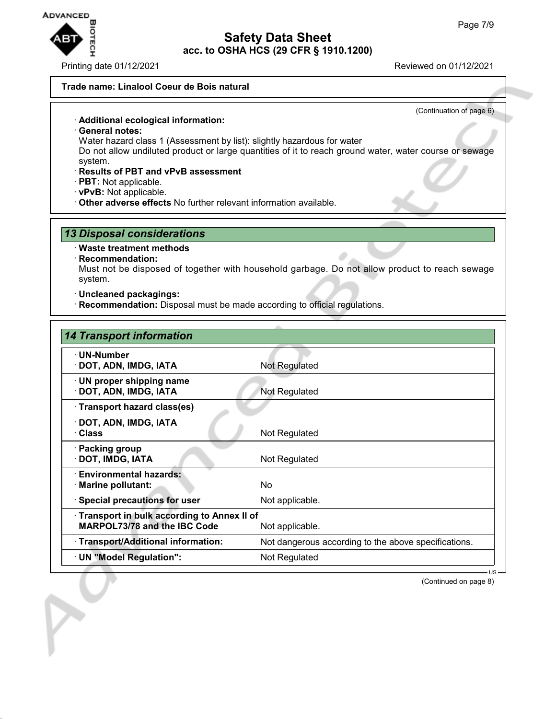

Printing date 01/12/2021 Reviewed on 01/12/2021

(Continuation of page 6)

#### **Trade name: Linalool Coeur de Bois natural**

#### · **Additional ecological information:**

· **General notes:**

Water hazard class 1 (Assessment by list): slightly hazardous for water

Do not allow undiluted product or large quantities of it to reach ground water, water course or sewage system.

- · **Results of PBT and vPvB assessment**
- · **PBT:** Not applicable.
- · **vPvB:** Not applicable.
- · **Other adverse effects** No further relevant information available.

## *13 Disposal considerations*

#### · **Waste treatment methods**

#### · **Recommendation:**

Must not be disposed of together with household garbage. Do not allow product to reach sewage system.

- · **Uncleaned packagings:**
- · **Recommendation:** Disposal must be made according to official regulations.

| <b>14 Transport information</b>                                                                      |                                                      |  |
|------------------------------------------------------------------------------------------------------|------------------------------------------------------|--|
| · UN-Number<br>· DOT, ADN, IMDG, IATA                                                                | Not Regulated                                        |  |
| $\cdot$ UN proper shipping name<br>· DOT, ADN, IMDG, IATA                                            | Not Regulated                                        |  |
| · Transport hazard class(es)                                                                         |                                                      |  |
| · DOT, ADN, IMDG, IATA<br>· Class                                                                    | Not Regulated                                        |  |
| · Packing group<br>· DOT, IMDG, IATA                                                                 | Not Regulated                                        |  |
| · Environmental hazards:<br>· Marine pollutant:                                                      | No.                                                  |  |
| · Special precautions for user                                                                       | Not applicable.                                      |  |
| Transport in bulk according to Annex II of<br><b>MARPOL73/78 and the IBC Code</b><br>Not applicable. |                                                      |  |
| · Transport/Additional information:                                                                  | Not dangerous according to the above specifications. |  |
| · UN "Model Regulation":                                                                             | Not Regulated                                        |  |
|                                                                                                      |                                                      |  |

(Continued on page 8)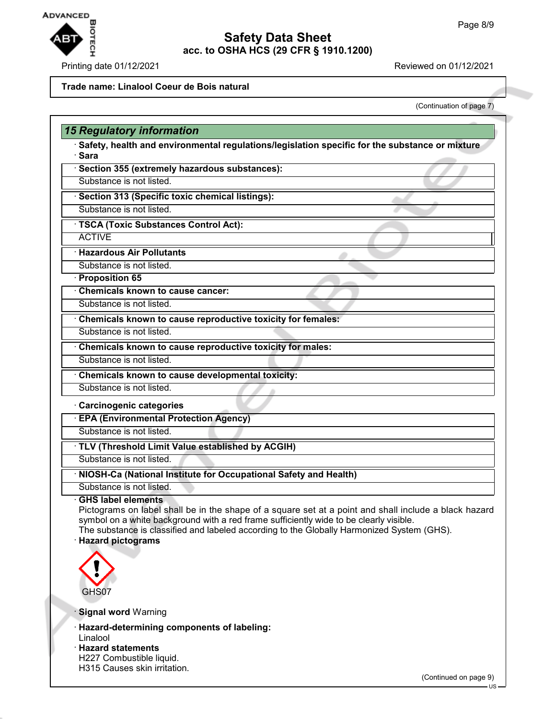

## Printing date 01/12/2021 Reviewed on 01/12/2021

## **Trade name: Linalool Coeur de Bois natural**

(Continuation of page 7)

|                              | <b>15 Regulatory information</b>                                                                                                                                                                                                                                                                                           |
|------------------------------|----------------------------------------------------------------------------------------------------------------------------------------------------------------------------------------------------------------------------------------------------------------------------------------------------------------------------|
| · Sara                       | Safety, health and environmental regulations/legislation specific for the substance or mixture                                                                                                                                                                                                                             |
|                              | · Section 355 (extremely hazardous substances):                                                                                                                                                                                                                                                                            |
|                              | Substance is not listed.                                                                                                                                                                                                                                                                                                   |
|                              | · Section 313 (Specific toxic chemical listings):                                                                                                                                                                                                                                                                          |
|                              | Substance is not listed.                                                                                                                                                                                                                                                                                                   |
|                              | · TSCA (Toxic Substances Control Act):                                                                                                                                                                                                                                                                                     |
| <b>ACTIVE</b>                |                                                                                                                                                                                                                                                                                                                            |
|                              | <b>Hazardous Air Pollutants</b>                                                                                                                                                                                                                                                                                            |
|                              | Substance is not listed.                                                                                                                                                                                                                                                                                                   |
| · Proposition 65             |                                                                                                                                                                                                                                                                                                                            |
|                              | Chemicals known to cause cancer:                                                                                                                                                                                                                                                                                           |
|                              | Substance is not listed.                                                                                                                                                                                                                                                                                                   |
|                              | Chemicals known to cause reproductive toxicity for females:                                                                                                                                                                                                                                                                |
|                              | Substance is not listed.                                                                                                                                                                                                                                                                                                   |
|                              | Chemicals known to cause reproductive toxicity for males:                                                                                                                                                                                                                                                                  |
|                              | Substance is not listed.                                                                                                                                                                                                                                                                                                   |
|                              | Chemicals known to cause developmental toxicity:                                                                                                                                                                                                                                                                           |
|                              | Substance is not listed.                                                                                                                                                                                                                                                                                                   |
|                              | Carcinogenic categories                                                                                                                                                                                                                                                                                                    |
|                              | <b>EPA (Environmental Protection Agency)</b>                                                                                                                                                                                                                                                                               |
|                              | Substance is not listed.                                                                                                                                                                                                                                                                                                   |
|                              | TLV (Threshold Limit Value established by ACGIH)                                                                                                                                                                                                                                                                           |
|                              | Substance is not listed.                                                                                                                                                                                                                                                                                                   |
|                              | · NIOSH-Ca (National Institute for Occupational Safety and Health)                                                                                                                                                                                                                                                         |
|                              | Substance is not listed.                                                                                                                                                                                                                                                                                                   |
| · Hazard pictograms<br>GHS07 | <b>GHS label elements</b><br>Pictograms on label shall be in the shape of a square set at a point and shall include a black hazard<br>symbol on a white background with a red frame sufficiently wide to be clearly visible.<br>The substance is classified and labeled according to the Globally Harmonized System (GHS). |
|                              | · Signal word Warning                                                                                                                                                                                                                                                                                                      |
| Linalool                     | · Hazard-determining components of labeling:                                                                                                                                                                                                                                                                               |
| · Hazard statements          |                                                                                                                                                                                                                                                                                                                            |
|                              | H227 Combustible liquid.<br>H315 Causes skin irritation.                                                                                                                                                                                                                                                                   |